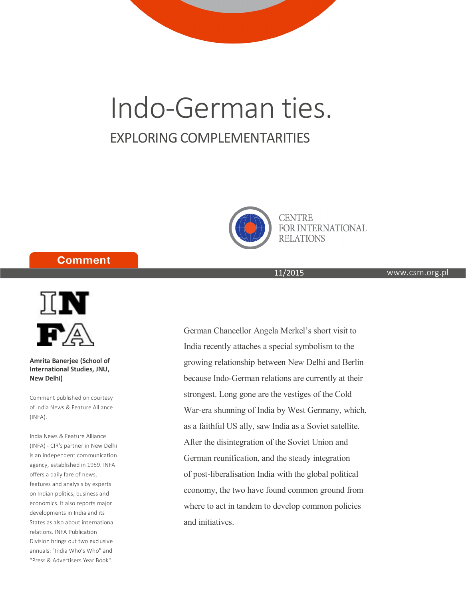# Indo-German ties. EXPLORING COMPLEMENTARITIES



**CENTRE FOR INTERNATIONAL RELATIONS** 

## **Comment**



**Amrita Banerjee (School of International Studies, JNU, New Delhi)**

Comment published on courtesy of India News & Feature Alliance (INFA).

India News & Feature Alliance (INFA) - CIR's partner in New Delhi is an independent communication agency, established in 1959. INFA offers a daily fare of news, features and analysis by experts on Indian politics, business and economics. It also reports major developments in India and its States as also about international relations. INFA Publication Division brings out two exclusive annuals: "India Who's Who" and "Press & Advertisers Year Book".

11/2015

www.csm.org.pl

German Chancellor Angela Merkel's short visit to India recently attaches a special symbolism to the growing relationship between New Delhi and Berlin because Indo-German relations are currently at their strongest. Long gone are the vestiges of the Cold War-era shunning of India by West Germany, which, as a faithful US ally, saw India as a Soviet satellite. After the disintegration of the Soviet Union and German reunification, and the steady integration of post-liberalisation India with the global political economy, the two have found common ground from where to act in tandem to develop common policies and initiatives.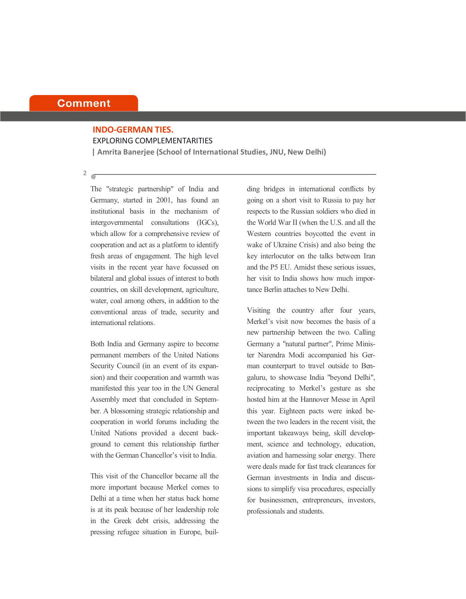#### **Comment**

### **INDO-GERMAN TIES.** EXPLORING COMPLEMENTARITIES

**| Amrita Banerjee (School of International Studies, JNU, New Delhi)**

**2**

The "strategic partnership" of India and Germany, started in 2001, has found an institutional basis in the mechanism of intergovernmental consultations (IGCs), which allow for a comprehensive review of cooperation and act as a platform to identify fresh areas of engagement. The high level visits in the recent year have focussed on bilateral and global issues of interest to both countries, on skill development, agriculture, water, coal among others, in addition to the conventional areas of trade, security and international relations.

Both India and Germany aspire to become permanent members of the United Nations Security Council (in an event of its expansion) and their cooperation and warmth was manifested this year too in the UN General Assembly meet that concluded in September. A blossoming strategic relationship and cooperation in world forums including the United Nations provided a decent background to cement this relationship further with the German Chancellor's visit to India.

This visit of the Chancellor became all the more important because Merkel comes to Delhi at a time when her status back home is at its peak because of her leadership role in the Greek debt crisis, addressing the pressing refugee situation in Europe, building bridges in international conflicts by going on a short visit to Russia to pay her respects to the Russian soldiers who died in the World War II (when the U.S. and all the Western countries boycotted the event in wake of Ukraine Crisis) and also being the key interlocutor on the talks between Iran and the P5 EU. Amidst these serious issues, her visit to India shows how much importance Berlin attaches to New Delhi.

Visiting the country after four years, Merkel's visit now becomes the basis of a new partnership between the two. Calling Germany a "natural partner", Prime Minister Narendra Modi accompanied his German counterpart to travel outside to Bengaluru, to showcase India "beyond Delhi", reciprocating to Merkel's gesture as she hosted him at the Hannover Messe in April this year. Eighteen pacts were inked between the two leaders in the recent visit, the important takeaways being, skill development, science and technology, education, aviation and harnessing solar energy. There were deals made for fast track clearances for German investments in India and discussions to simplify visa procedures, especially for businessmen, entrepreneurs, investors, professionals and students.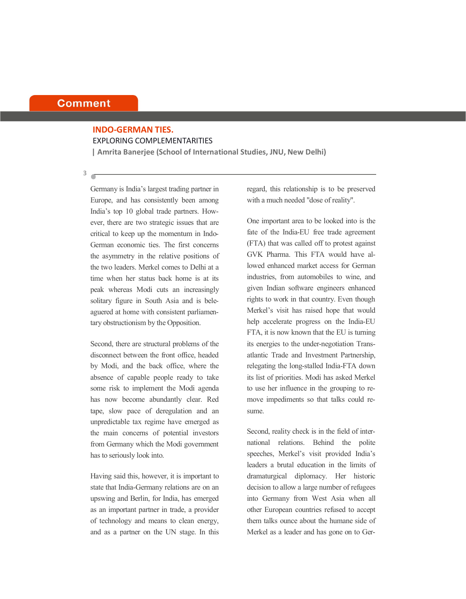#### **Comment**

#### **INDO-GERMAN TIES.** EXPLORING COMPLEMENTARITIES

**| Amrita Banerjee (School of International Studies, JNU, New Delhi)**

**3**

Germany is India's largest trading partner in Europe, and has consistently been among India's top 10 global trade partners. However, there are two strategic issues that are critical to keep up the momentum in Indo-German economic ties. The first concerns the asymmetry in the relative positions of the two leaders. Merkel comes to Delhi at a time when her status back home is at its peak whereas Modi cuts an increasingly solitary figure in South Asia and is beleaguered at home with consistent parliamentary obstructionism by the Opposition.

Second, there are structural problems of the disconnect between the front office, headed by Modi, and the back office, where the absence of capable people ready to take some risk to implement the Modi agenda has now become abundantly clear. Red tape, slow pace of deregulation and an unpredictable tax regime have emerged as the main concerns of potential investors from Germany which the Modi government has to seriously look into.

Having said this, however, it is important to state that India-Germany relations are on an upswing and Berlin, for India, has emerged as an important partner in trade, a provider of technology and means to clean energy, and as a partner on the UN stage. In this regard, this relationship is to be preserved with a much needed "dose of reality".

One important area to be looked into is the fate of the India-EU free trade agreement (FTA) that was called off to protest against GVK Pharma. This FTA would have allowed enhanced market access for German industries, from automobiles to wine, and given Indian software engineers enhanced rights to work in that country. Even though Merkel's visit has raised hope that would help accelerate progress on the India-EU FTA, it is now known that the EU is turning its energies to the under-negotiation Transatlantic Trade and Investment Partnership, relegating the long-stalled India-FTA down its list of priorities. Modi has asked Merkel to use her influence in the grouping to remove impediments so that talks could resume.

Second, reality check is in the field of international relations. Behind the polite speeches, Merkel's visit provided India's leaders a brutal education in the limits of dramaturgical diplomacy. Her historic decision to allow a large number of refugees into Germany from West Asia when all other European countries refused to accept them talks ounce about the humane side of Merkel as a leader and has gone on to Ger-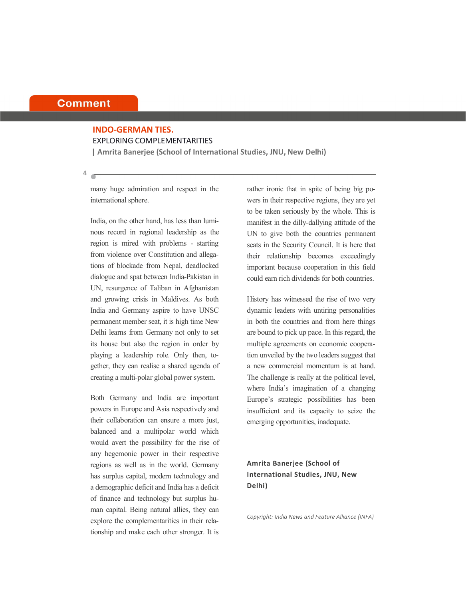#### **Comment**

### **INDO-GERMAN TIES.** EXPLORING COMPLEMENTARITIES

**| Amrita Banerjee (School of International Studies, JNU, New Delhi)**

many huge admiration and respect in the international sphere.

India, on the other hand, has less than luminous record in regional leadership as the region is mired with problems - starting from violence over Constitution and allegations of blockade from Nepal, deadlocked dialogue and spat between India-Pakistan in UN, resurgence of Taliban in Afghanistan and growing crisis in Maldives. As both India and Germany aspire to have UNSC permanent member seat, it is high time New Delhi learns from Germany not only to set its house but also the region in order by playing a leadership role. Only then, together, they can realise a shared agenda of creating a multi-polar global power system.

Both Germany and India are important powers in Europe and Asia respectively and their collaboration can ensure a more just, balanced and a multipolar world which would avert the possibility for the rise of any hegemonic power in their respective regions as well as in the world. Germany has surplus capital, modern technology and a demographic deficit and India has a deficit of finance and technology but surplus human capital. Being natural allies, they can explore the complementarities in their relationship and make each other stronger. It is rather ironic that in spite of being big powers in their respective regions, they are yet to be taken seriously by the whole. This is manifest in the dilly-dallying attitude of the UN to give both the countries permanent seats in the Security Council. It is here that their relationship becomes exceedingly important because cooperation in this field could earn rich dividends for both countries.

History has witnessed the rise of two very dynamic leaders with untiring personalities in both the countries and from here things are bound to pick up pace. In this regard, the multiple agreements on economic cooperation unveiled by the two leaders suggest that a new commercial momentum is at hand. The challenge is really at the political level, where India's imagination of a changing Europe's strategic possibilities has been insufficient and its capacity to seize the emerging opportunities, inadequate.

#### **Amrita Banerjee (School of International Studies, JNU, New Delhi)**

*Copyright: India News and Feature Alliance (INFA)*

**4**